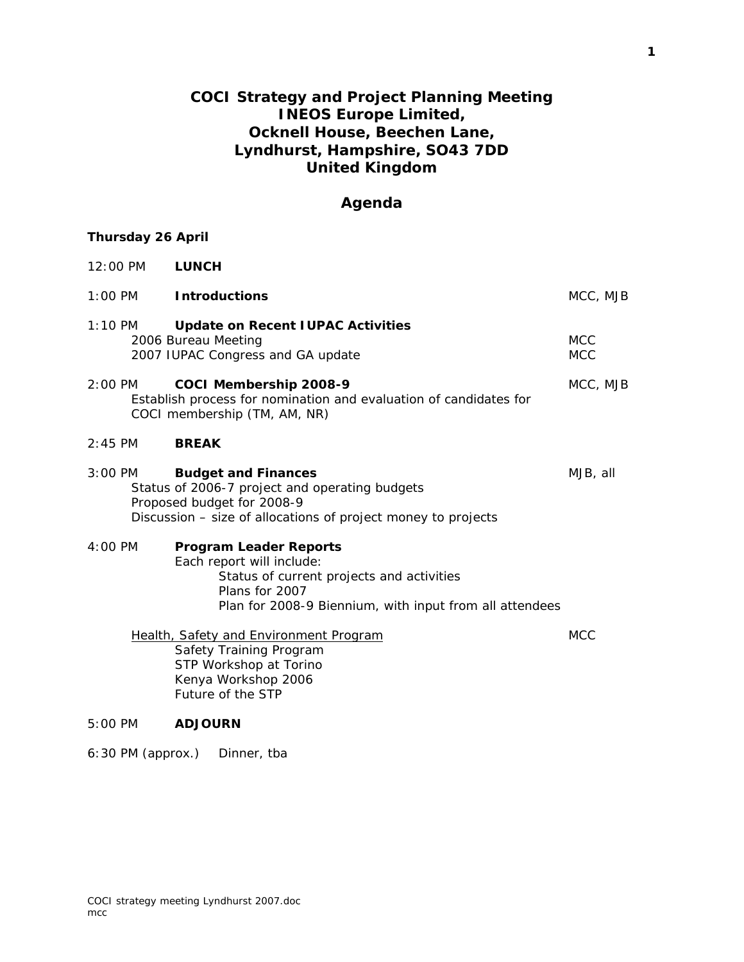## **COCI Strategy and Project Planning Meeting INEOS Europe Limited, Ocknell House, Beechen Lane, Lyndhurst, Hampshire, SO43 7DD United Kingdom**

## **Agenda**

## **Thursday 26 April**

| 12:00 PM            | <b>LUNCH</b>                                                                                                                                                                         |                          |
|---------------------|--------------------------------------------------------------------------------------------------------------------------------------------------------------------------------------|--------------------------|
| $1:00 \, \text{PM}$ | <b>Introductions</b>                                                                                                                                                                 | MCC, MJB                 |
| $1:10 \,$ PM        | <b>Update on Recent IUPAC Activities</b><br>2006 Bureau Meeting<br>2007 IUPAC Congress and GA update                                                                                 | <b>MCC</b><br><b>MCC</b> |
| $2:00$ PM           | COCI Membership 2008-9<br>Establish process for nomination and evaluation of candidates for<br>COCI membership (TM, AM, NR)                                                          | MCC, MJB                 |
| $2:45$ PM           | <b>BREAK</b>                                                                                                                                                                         |                          |
| $3:00$ PM           | <b>Budget and Finances</b><br>Status of 2006-7 project and operating budgets<br>Proposed budget for 2008-9<br>Discussion – size of allocations of project money to projects          | MJB, all                 |
| $4:00 \, \text{PM}$ | <b>Program Leader Reports</b><br>Each report will include:<br>Status of current projects and activities<br>Plans for 2007<br>Plan for 2008-9 Biennium, with input from all attendees |                          |
|                     | Health, Safety and Environment Program<br>Safety Training Program<br>STP Workshop at Torino<br>Kenya Workshop 2006<br>Future of the STP                                              | <b>MCC</b>               |
| $5:00 \, \text{PM}$ | <b>ADJOURN</b>                                                                                                                                                                       |                          |

6:30 PM (approx.) Dinner, tba